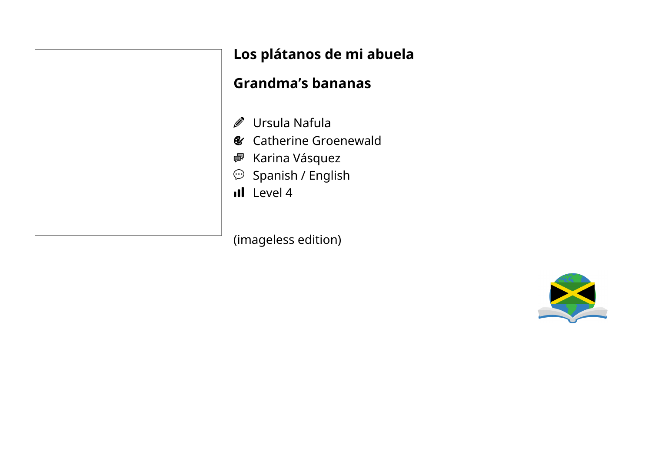|         | Lo: |
|---------|-----|
|         | Gr  |
|         |     |
| ◎ ● ● ③ |     |
|         |     |
|         |     |
|         | ıl  |

## **Los plátanos de mi abuela**

### **Grandma's bananas**

- Ursula Nafula
- Catherine Groenewald
- Karina Vásquez
- Spanish / English
- Level 4

(imageless edition)

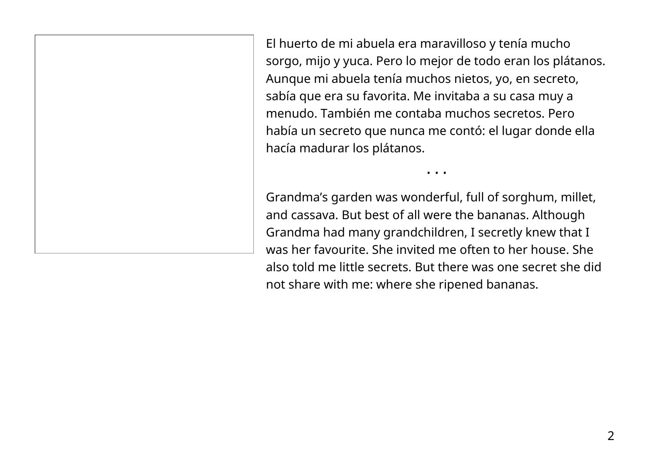El huerto de mi abuela era maravilloso y tenía mucho sorgo, mijo y yuca. Pero lo mejor de todo eran los plátanos. Aunque mi abuela tenía muchos nietos, yo, en secreto, sabía que era su favorita. Me invitaba a su casa muy a menudo. También me contaba muchos secretos. Pero había un secreto que nunca me contó: el lugar donde ella hacía madurar los plátanos.

• • •

Grandma's garden was wonderful, full of sorghum, millet, and cassava. But best of all were the bananas. Although Grandma had many grandchildren, I secretly knew that I was her favourite. She invited me often to her house. She also told me little secrets. But there was one secret she did not share with me: where she ripened bananas.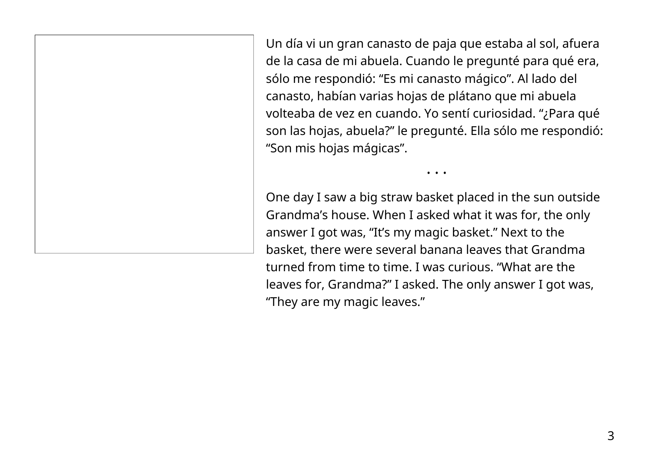Un día vi un gran canasto de paja que estaba al sol, afuera de la casa de mi abuela. Cuando le pregunté para qué era, sólo me respondió: "Es mi canasto mágico". Al lado del canasto, habían varias hojas de plátano que mi abuela volteaba de vez en cuando. Yo sentí curiosidad. "¿Para qué son las hojas, abuela?" le pregunté. Ella sólo me respondió: "Son mis hojas mágicas".

• • •

One day I saw a big straw basket placed in the sun outside Grandma's house. When I asked what it was for, the only answer I got was, "It's my magic basket." Next to the basket, there were several banana leaves that Grandma turned from time to time. I was curious. "What are the leaves for, Grandma?" I asked. The only answer I got was, "They are my magic leaves."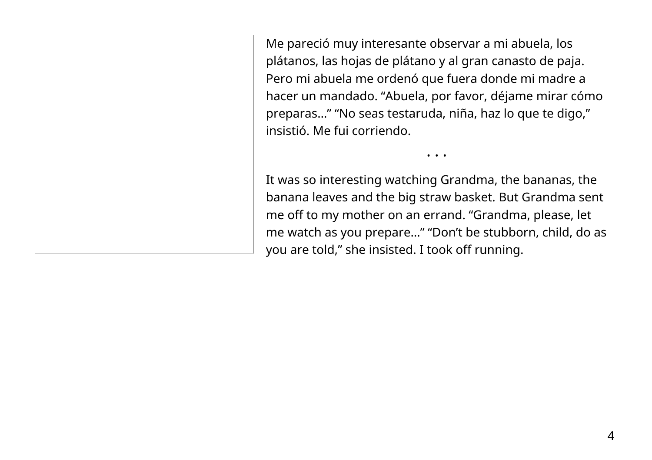Me pareció muy interesante observar a mi abuela, los plátanos, las hojas de plátano y al gran canasto de paja. Pero mi abuela me ordenó que fuera donde mi madre a hacer un mandado. "Abuela, por favor, déjame mirar cómo preparas…" "No seas testaruda, niña, haz lo que te digo," insistió. Me fui corriendo.

It was so interesting watching Grandma, the bananas, the banana leaves and the big straw basket. But Grandma sent me off to my mother on an errand. "Grandma, please, let me watch as you prepare…" "Don't be stubborn, child, do as you are told," she insisted. I took off running.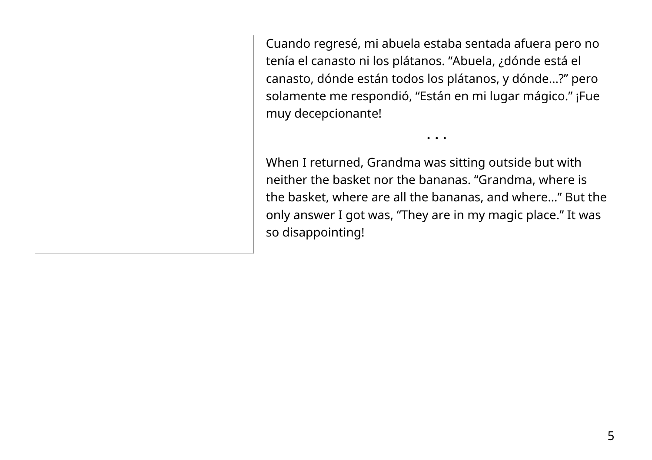Cuando regresé, mi abuela estaba sentada afuera pero no tenía el canasto ni los plátanos. "Abuela, ¿dónde está el canasto, dónde están todos los plátanos, y dónde…?" pero solamente me respondió, "Están en mi lugar mágico." ¡Fue muy decepcionante!

When I returned, Grandma was sitting outside but with neither the basket nor the bananas. "Grandma, where is the basket, where are all the bananas, and where…" But the only answer I got was, "They are in my magic place." It was so disappointing!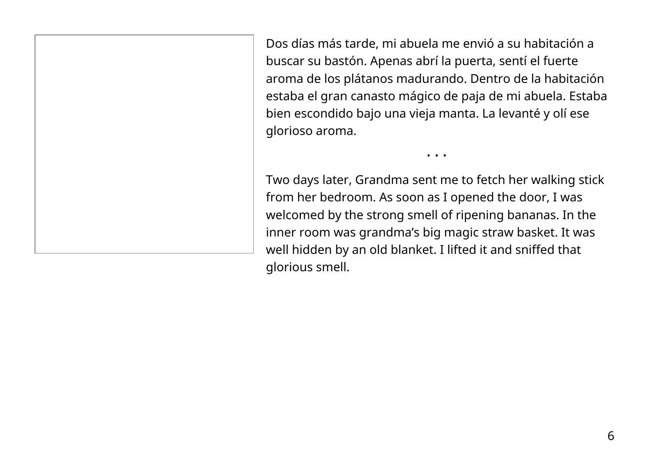Dos días más tarde, mi abuela me envió a su habitación a buscar su bastón. Apenas abrí la puerta, sentí el fuerte aroma de los plátanos madurando. Dentro de la habitación estaba el gran canasto mágico de paja de mi abuela. Estaba bien escondido bajo una vieja manta. La levanté y olí ese glorioso aroma.

• • •

Two days later, Grandma sent me to fetch her walking stick from her bedroom. As soon as I opened the door, I was welcomed by the strong smell of ripening bananas. In the inner room was grandma's big magic straw basket. It was well hidden by an old blanket. I lifted it and sniffed that glorious smell.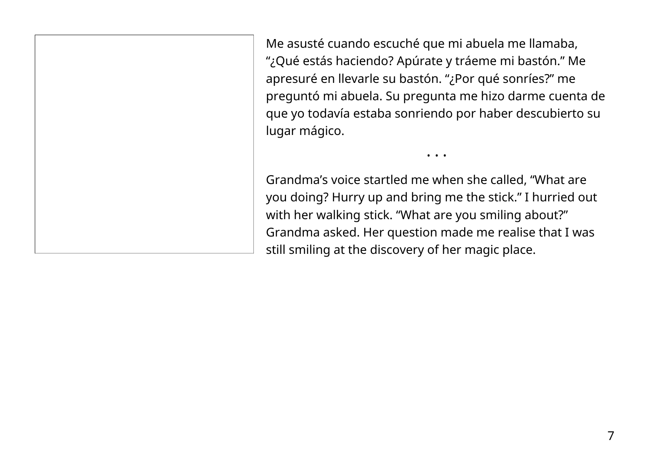Me asusté cuando escuché que mi abuela me llamaba, "¿Qué estás haciendo? Apúrate y tráeme mi bastón." Me apresuré en llevarle su bastón. "¿Por qué sonríes?" me preguntó mi abuela. Su pregunta me hizo darme cuenta de que yo todavía estaba sonriendo por haber descubierto su lugar mágico.

• • •

Grandma's voice startled me when she called, "What are you doing? Hurry up and bring me the stick." I hurried out with her walking stick. "What are you smiling about?" Grandma asked. Her question made me realise that I was still smiling at the discovery of her magic place.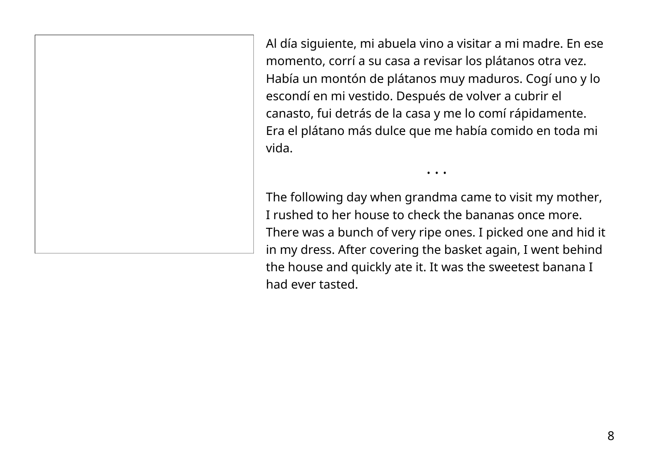Al día siguiente, mi abuela vino a visitar a mi madre. En ese momento, corrí a su casa a revisar los plátanos otra vez. Había un montón de plátanos muy maduros. Cogí uno y lo escondí en mi vestido. Después de volver a cubrir el canasto, fui detrás de la casa y me lo comí rápidamente. Era el plátano más dulce que me había comido en toda mi vida.

The following day when grandma came to visit my mother, I rushed to her house to check the bananas once more. There was a bunch of very ripe ones. I picked one and hid it in my dress. After covering the basket again, I went behind the house and quickly ate it. It was the sweetest banana I had ever tasted.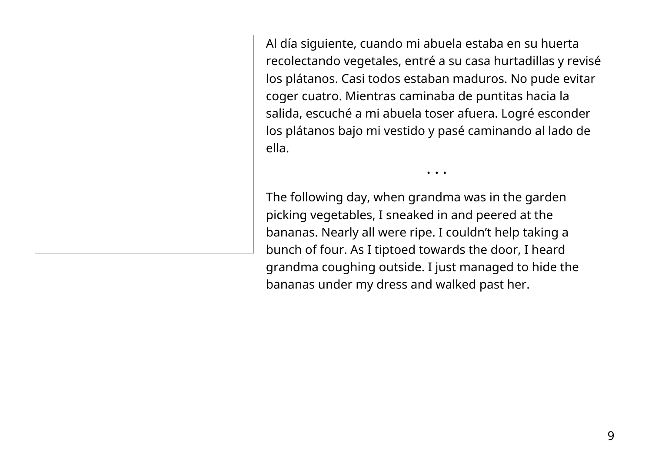Al día siguiente, cuando mi abuela estaba en su huerta recolectando vegetales, entré a su casa hurtadillas y revisé los plátanos. Casi todos estaban maduros. No pude evitar coger cuatro. Mientras caminaba de puntitas hacia la salida, escuché a mi abuela toser afuera. Logré esconder los plátanos bajo mi vestido y pasé caminando al lado de ella.

• • •

The following day, when grandma was in the garden picking vegetables, I sneaked in and peered at the bananas. Nearly all were ripe. I couldn't help taking a bunch of four. As I tiptoed towards the door, I heard grandma coughing outside. I just managed to hide the bananas under my dress and walked past her.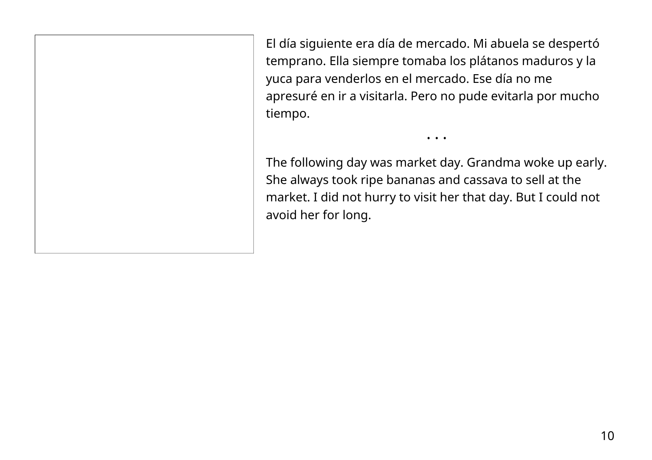El día siguiente era día de mercado. Mi abuela se despertó temprano. Ella siempre tomaba los plátanos maduros y la yuca para venderlos en el mercado. Ese día no me apresuré en ir a visitarla. Pero no pude evitarla por mucho tiempo.

The following day was market day. Grandma woke up early. She always took ripe bananas and cassava to sell at the market. I did not hurry to visit her that day. But I could not avoid her for long.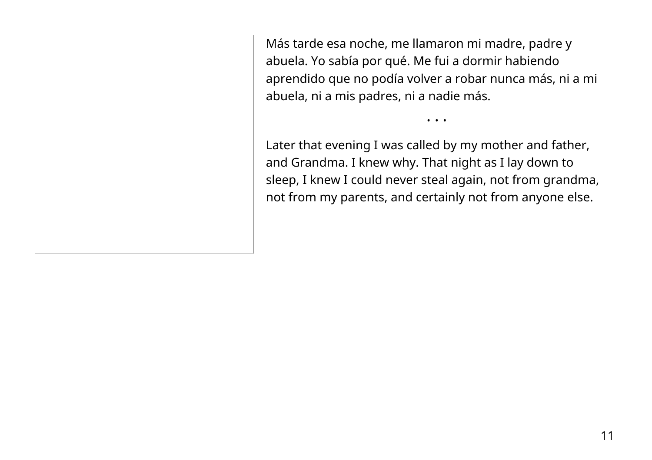Más tarde esa noche, me llamaron mi madre, padre y abuela. Yo sabía por qué. Me fui a dormir habiendo aprendido que no podía volver a robar nunca más, ni a mi abuela, ni a mis padres, ni a nadie más.

• • •

Later that evening I was called by my mother and father, and Grandma. I knew why. That night as I lay down to sleep, I knew I could never steal again, not from grandma, not from my parents, and certainly not from anyone else.